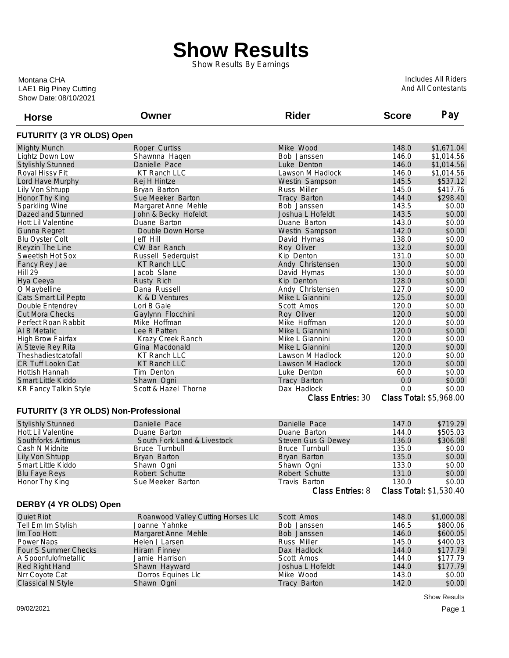## **Show Results**

Show Results By Earnings

Show Date: 08/10/2021 LAE1 Big Piney Cutting Montana CHA

Includes All Riders And All Contestants

| <b>Horse</b>                          | Owner                              | <b>Rider</b>             | <b>Score</b>            | Pay        |
|---------------------------------------|------------------------------------|--------------------------|-------------------------|------------|
| <b>FUTURITY (3 YR OLDS) Open</b>      |                                    |                          |                         |            |
| <b>Mighty Munch</b>                   | Roper Curtiss                      | Mike Wood                | 148.0                   | \$1,671.04 |
| Lightz Down Low                       | Shawnna Hagen                      | Bob Janssen              | 146.0                   | \$1,014.56 |
| <b>Stylishly Stunned</b>              | Danielle Pace                      | Luke Denton              | 146.0                   | \$1,014.56 |
| Royal Hissy Fit                       | <b>KT Ranch LLC</b>                | Lawson M Hadlock         | 146.0                   | \$1,014.56 |
| Lord Have Murphy                      | Rej H Hintze                       | Westin Sampson           | 145.5                   | \$537.12   |
| Lily Von Shtupp                       | Bryan Barton                       | <b>Russ Miller</b>       | 145.0                   | \$417.76   |
| Honor Thy King                        | Sue Meeker Barton                  | Tracy Barton             | 144.0                   | \$298.40   |
| <b>Sparkling Wine</b>                 | Margaret Anne Mehle                | Bob Janssen              | 143.5                   | \$0.00     |
| Dazed and Stunned                     | John & Becky Hofeldt               | Joshua L Hofeldt         | 143.5                   | \$0.00     |
| Hott Lil Valentine                    | Duane Barton                       | Duane Barton             | 143.0                   | \$0.00     |
| Gunna Regret                          | Double Down Horse                  | Westin Sampson           | 142.0                   | \$0.00     |
| <b>Blu Oyster Colt</b>                | Jeff Hill                          | David Hymas              | 138.0                   | \$0.00     |
| Reyzin The Line                       | CW Bar Ranch                       | Roy Oliver               | 132.0                   | \$0.00     |
| Sweetish Hot Sox                      | Russell Sederquist                 | Kip Denton               | 131.0                   | \$0.00     |
| Fancy Rey Jae                         | <b>KT Ranch LLC</b>                | Andy Christensen         | 130.0                   | \$0.00     |
| <b>Hill 29</b>                        | Jacob Slane                        | David Hymas              | 130.0                   | \$0.00     |
| Hya Ceeya                             | Rusty Rich                         | Kip Denton               | 128.0                   | \$0.00     |
| O Maybelline                          | Dana Russell                       | Andy Christensen         | 127.0                   | \$0.00     |
| Cats Smart Lil Pepto                  | K & D Ventures                     | Mike L Giannini          | 125.0                   | \$0.00     |
| Double Entendrey                      | Lori B Gale                        | Scott Amos               | 120.0                   | \$0.00     |
| <b>Cut Mora Checks</b>                | Gaylynn Flocchini                  | Roy Oliver               | 120.0                   | \$0.00     |
| Perfect Roan Rabbit                   | Mike Hoffman                       | Mike Hoffman             | 120.0                   | \$0.00     |
| Al B Metalic                          | Lee R Patten                       | Mike L Giannini          | 120.0                   | \$0.00     |
| <b>High Brow Fairfax</b>              | Krazy Creek Ranch                  | Mike L Giannini          | 120.0                   | \$0.00     |
| A Stevie Rey Rita                     | Gina Macdonald                     | Mike L Giannini          | 120.0                   | \$0.00     |
| Theshadiestcatofall                   | <b>KT Ranch LLC</b>                | Lawson M Hadlock         | 120.0                   | \$0.00     |
| CR Tuff Lookn Cat                     | <b>KT Ranch LLC</b>                | Lawson M Hadlock         | 120.0                   | \$0.00     |
| Hottish Hannah                        | Tim Denton                         | Luke Denton              | 60.0                    | \$0.00     |
| <b>Smart Little Kiddo</b>             | Shawn Ogni                         | Tracy Barton             | 0.0                     | \$0.00     |
| <b>KR Fancy Talkin Style</b>          | Scott & Hazel Thorne               | Dax Hadlock              | 0.0                     | \$0.00     |
|                                       |                                    | <b>Class Entries: 30</b> | Class Total: \$5,968.00 |            |
| FUTURITY (3 YR OLDS) Non-Professional |                                    |                          |                         |            |
| <b>Stylishly Stunned</b>              | Danielle Pace                      | Danielle Pace            | 147.0                   | \$719.29   |
| <b>Hott Lil Valentine</b>             | Duane Barton                       | Duane Barton             | 144.0                   | \$505.03   |
| Southforks Artimus                    | South Fork Land & Livestock        | Steven Gus G Dewey       | 136.0                   | \$306.08   |
| Cash N Midnite                        | <b>Bruce Turnbull</b>              | <b>Bruce Turnbull</b>    | 135.0                   | \$0.00     |
| <b>Lily Von Shtupp</b>                | Bryan Barton                       | Bryan Barton             | 135.0                   | \$0.00     |
| Smart Little Kiddo                    | Shawn Ogni                         | Shawn Ogni               | 133.0                   | \$0.00     |
| <b>Blu Faye Reys</b>                  | Robert Schutte                     | Robert Schutte           | 131.0                   | \$0.00     |
| Honor Thy King                        | Sue Meeker Barton                  | Travis Barton            | 130.0                   | \$0.00     |
|                                       |                                    | <b>Class Entries: 8</b>  | Class Total: \$1,530.40 |            |
| DERBY (4 YR OLDS) Open                |                                    |                          |                         |            |
| <b>Quiet Riot</b>                     | Roanwood Valley Cutting Horses Llc | Scott Amos               | 148.0                   | \$1,000.08 |
| Tell Em Im Stylish                    | Joanne Yahnke                      | Bob Janssen              | 146.5                   | \$800.06   |
| Im Too Hott                           | Margaret Anne Mehle                | Bob Janssen              | 146.0                   | \$600.05   |
| Power Naps                            | Helen J Larsen                     | <b>Russ Miller</b>       | 145.0                   | \$400.03   |
| Four S Summer Checks                  | Hiram Finney                       | Dax Hadlock              | 144.0                   | \$177.79   |
| A Spoonfulofmetallic                  | Jamie Harrison                     | Scott Amos               | 144.0                   | \$177.79   |
| Red Right Hand                        | Shawn Hayward                      | Joshua L Hofeldt         | 144.0                   | \$177.79   |
| Nrr Coyote Cat                        | Dorros Equines Llc                 | Mike Wood                | 143.0                   | \$0.00     |
| Classical N Style                     | Shawn Ogni                         | Tracy Barton             | 142.0                   | \$0.00     |
|                                       |                                    |                          |                         |            |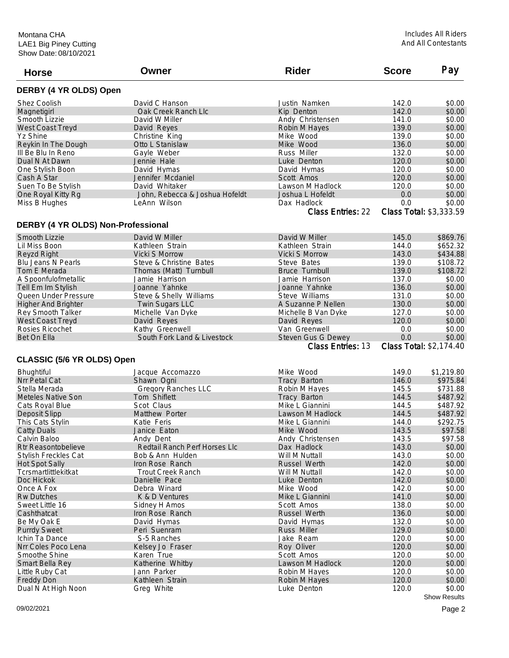| <b>Horse</b>                       | Owner                          | <b>Rider</b>             | <b>Score</b> | Pay                     |
|------------------------------------|--------------------------------|--------------------------|--------------|-------------------------|
| DERBY (4 YR OLDS) Open             |                                |                          |              |                         |
| <b>Shez Coolish</b>                | David C Hanson                 | Justin Namken            | 142.0        | \$0.00                  |
| Magnetigirl                        | Oak Creek Ranch Llc            | Kip Denton               | 142.0        | \$0.00                  |
| Smooth Lizzie                      | David W Miller                 | Andy Christensen         | 141.0        | \$0.00                  |
| West Coast Treyd                   | David Reyes                    | Robin M Hayes            | 139.0        | \$0.00                  |
| Yz Shine                           | Christine King                 | Mike Wood                | 139.0        | \$0.00                  |
| Reykin In The Dough                | Otto L Stanislaw               | Mike Wood                | 136.0        | \$0.00                  |
| III Be Blu In Reno                 | Gayle Weber                    | Russ Miller              | 132.0        | \$0.00                  |
| Dual N At Dawn                     | Jennie Hale                    | Luke Denton              | 120.0        | \$0.00                  |
| One Stylish Boon                   | David Hymas                    | David Hymas              | 120.0        | \$0.00                  |
| Cash A Star                        | Jennifer Mcdaniel              | Scott Amos               | 120.0        | \$0.00                  |
| Suen To Be Stylish                 | David Whitaker                 | Lawson M Hadlock         | 120.0        | \$0.00                  |
| One Royal Kitty Rg                 | John, Rebecca & Joshua Hofeldt | Joshua L Hofeldt         | 0.0          | \$0.00                  |
| Miss B Hughes                      | LeAnn Wilson                   | Dax Hadlock              | 0.0          | \$0.00                  |
|                                    |                                | <b>Class Entries: 22</b> |              | Class Total: \$3,333.59 |
| DERBY (4 YR OLDS) Non-Professional |                                |                          |              |                         |
| Smooth Lizzie                      | David W Miller                 | David W Miller           | 145.0        | \$869.76                |
| Lil Miss Boon                      | Kathleen Strain                | Kathleen Strain          | 144.0        | \$652.32                |
| Reyzd Right                        | <b>Vicki S Morrow</b>          | Vicki S Morrow           | 143.0        | \$434.88                |
| Blu Jeans N Pearls                 | Steve & Christine Bates        | Steve Bates              | 139.0        | \$108.72                |
| Tom E Merada                       | Thomas (Matt) Turnbull         | <b>Bruce Turnbull</b>    | 139.0        | \$108.72                |
| A Spoonfulofmetallic               | Jamie Harrison                 | Jamie Harrison           | 137.0        | \$0.00                  |
| Tell Em Im Stylish                 | Joanne Yahnke                  | Joanne Yahnke            | 136.0        | \$0.00                  |
| Queen Under Pressure               | Steve & Shelly Williams        | Steve Williams           | 131.0        | \$0.00                  |
| <b>Higher And Brighter</b>         | Twin Sugars LLC                | A Suzanne P Nellen       | 130.0        | \$0.00                  |
| Rey Smooth Talker                  | Michelle Van Dyke              | Michelle B Van Dyke      | 127.0        | \$0.00                  |
| West Coast Treyd                   | David Reyes                    | David Reyes              | 120.0        | \$0.00                  |
| Rosies Ricochet                    | Kathy Greenwell                | Van Greenwell            | 0.0          | \$0.00                  |
| Bet On Ella                        | South Fork Land & Livestock    | Steven Gus G Dewey       | 0.0          | \$0.00                  |
|                                    |                                | <b>Class Entries: 13</b> |              | Class Total: \$2,174.40 |
| CLASSIC (5/6 YR OLDS) Open         |                                |                          |              |                         |
| <b>Bhughtiful</b>                  | Jacque Accomazzo               | Mike Wood                | 149.0        | \$1,219.80              |
| Nrr Petal Cat                      | Shawn Ogni                     | Tracy Barton             | 146.0        | \$975.84                |
| Stella Merada                      | <b>Gregory Ranches LLC</b>     | Robin M Hayes            | 145.5        | \$731.88                |
| <b>Meteles Native Son</b>          | Tom Shiflett                   | Tracy Barton             | 144.5        | \$487.92                |
| Cats Royal Blue                    | Scot Claus                     | Mike L Giannini          | 144.5        | \$487.92                |
| Deposit Slipp                      | Matthew Porter                 | Lawson M Hadlock         | 144.5        | \$487.92                |
| This Cats Stylin                   | Katie Feris                    | Mike L Giannini          | 144.0        | \$292.75                |
| <b>Catty Duals</b>                 | Janice Eaton                   | Mike Wood                | 143.5        | \$97.58                 |
| Calvin Baloo                       | Andy Dent                      | Andy Christensen         | 143.5        | \$97.58                 |
| <b>Rtr Reasontobelieve</b>         | Redtail Ranch Perf Horses Llc  | Dax Hadlock              | 143.0        | \$0.00                  |
| <b>Stylish Freckles Cat</b>        | Bob & Ann Hulden               | Will M Nuttall           | 143.0        | \$0.00                  |
| <b>Hot Spot Sally</b>              | Iron Rose Ranch                | Russel Werth             | 142.0        | \$0.00                  |
| Tcrsmartlittlekitkat               | <b>Trout Creek Ranch</b>       | Will M Nuttall           | 142.0        | \$0.00                  |
| Doc Hickok                         | Danielle Pace                  | Luke Denton              | 142.0        | \$0.00                  |
| Once A Fox                         | Debra Winard                   | Mike Wood                | 142.0        | \$0.00                  |
| <b>Rw Dutches</b>                  | K & D Ventures                 | Mike L Giannini          | 141.0        | \$0.00                  |
| Sweet Little 16                    | Sidney H Amos                  | Scott Amos               | 138.0        | \$0.00                  |
| Cashthatcat                        | Iron Rose Ranch                | Russel Werth             | 136.0        | \$0.00                  |
| Be My Oak E                        | David Hymas                    | David Hymas              | 132.0        | \$0.00                  |
| <b>Purrdy Sweet</b>                | Peri Suenram                   | Russ Miller              | 129.0        | \$0.00                  |
| Ichin Ta Dance                     | S-5 Ranches                    | Jake Ream                | 120.0        | \$0.00                  |
| Nrr Coles Poco Lena                | Kelsey Jo Fraser               | Roy Oliver               | 120.0        | \$0.00                  |
| Smoothe Shine                      | Karen True                     | Scott Amos               | 120.0        | \$0.00                  |
| Smart Bella Rey                    | Katherine Whitby               | Lawson M Hadlock         | 120.0        | \$0.00                  |
| Little Ruby Cat                    | Jann Parker                    | Robin M Hayes            | 120.0        | \$0.00                  |
| <b>Freddy Don</b>                  | Kathleen Strain                | Robin M Hayes            | 120.0        | \$0.00                  |
| Dual N At High Noon                | Greg White                     | Luke Denton              | 120.0        | \$0.00                  |
|                                    |                                |                          |              |                         |

Show Results